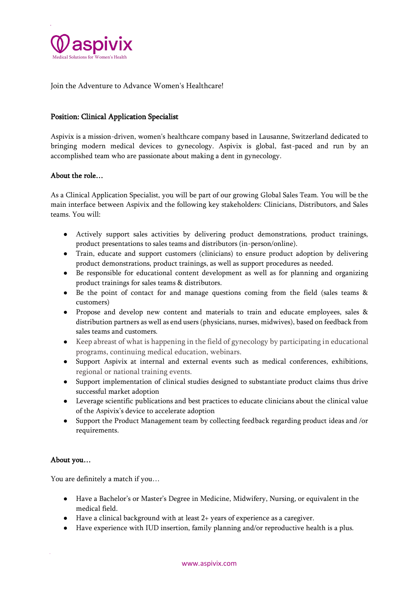

Join the Adventure to Advance Women's Healthcare!

# Position: Clinical Application Specialist

Aspivix is a mission-driven, women's healthcare company based in Lausanne, Switzerland dedicated to bringing modern medical devices to gynecology. Aspivix is global, fast-paced and run by an accomplished team who are passionate about making a dent in gynecology.

# About the role…

As a Clinical Application Specialist, you will be part of our growing Global Sales Team. You will be the main interface between Aspivix and the following key stakeholders: Clinicians, Distributors, and Sales teams. You will:

- Actively support sales activities by delivering product demonstrations, product trainings, product presentations to sales teams and distributors (in-person/online).
- Train, educate and support customers (clinicians) to ensure product adoption by delivering product demonstrations, product trainings, as well as support procedures as needed.
- Be responsible for educational content development as well as for planning and organizing product trainings for sales teams & distributors.
- Be the point of contact for and manage questions coming from the field (sales teams & customers)
- Propose and develop new content and materials to train and educate employees, sales & distribution partners as well as end users (physicians, nurses, midwives), based on feedback from sales teams and customers.
- Keep abreast of what is happening in the field of gynecology by participating in educational programs, continuing medical education, webinars.
- Support Aspivix at internal and external events such as medical conferences, exhibitions, regional or national training events.
- Support implementation of clinical studies designed to substantiate product claims thus drive successful market adoption
- Leverage scientific publications and best practices to educate clinicians about the clinical value of the Aspivix's device to accelerate adoption
- Support the Product Management team by collecting feedback regarding product ideas and /or requirements.

## About you…

You are definitely a match if you…

- Have a Bachelor's or Master's Degree in Medicine, Midwifery, Nursing, or equivalent in the medical field.
- Have a clinical background with at least 2+ years of experience as a caregiver.
- Have experience with IUD insertion, family planning and/or reproductive health is a plus.